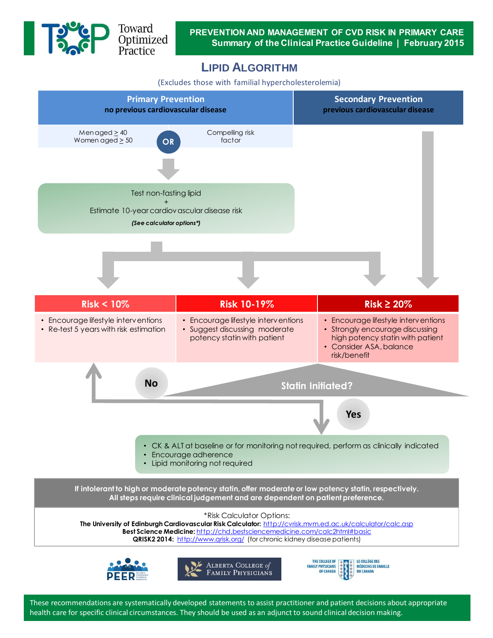

De Toward<br>Deptimized<br>Practice

**PREVENTION AND MANAGEMENT OF CVD RISK IN PRIMARY CARE Summary of the Clinical Practice Guideline | February 2015**

## **LIPID ALGORITHM**

(Excludes those with familial hypercholesterolemia)



These recommendations are systematically developed statements to assist practitioner and patient decisions about appropriate health care for specific clinical circumstances. They should be used as an adjunct to sound clinical decision making.